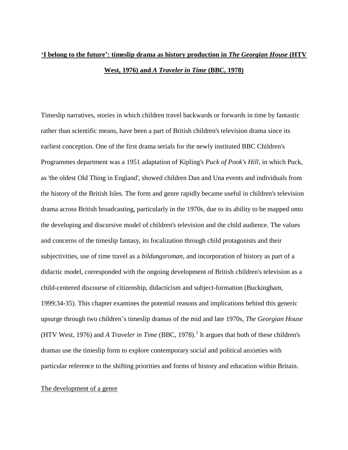# **'I belong to the future': timeslip drama as history production in** *The Georgian House* **(HTV West, 1976) and** *A Traveler in Time* **(BBC, 1978)**

Timeslip narratives, stories in which children travel backwards or forwards in time by fantastic rather than scientific means, have been a part of British children's television drama since its earliest conception. One of the first drama serials for the newly instituted BBC Children's Programmes department was a 1951 adaptation of Kipling's *Puck of Pook's Hill*, in which Puck, as 'the oldest Old Thing in England', showed children Dan and Una events and individuals from the history of the British Isles. The form and genre rapidly became useful in children's television drama across British broadcasting, particularly in the 1970s, due to its ability to be mapped onto the developing and discursive model of children's television and the child audience. The values and concerns of the timeslip fantasy, its focalization through child protagonists and their subjectivities, use of time travel as a *bildungsroman*, and incorporation of history as part of a didactic model, corresponded with the ongoing development of British children's television as a child-centered discourse of citizenship, didacticism and subject-formation (Buckingham, 1999:34-35). This chapter examines the potential reasons and implications behind this generic upsurge through two children's timeslip dramas of the mid and late 1970s, *The Georgian House* (HTV West, 1976) and *A Traveler in Time* (BBC, 1978).<sup>1</sup> It argues that both of these children's dramas use the timeslip form to explore contemporary social and political anxieties with particular reference to the shifting priorities and forms of history and education within Britain.

## The development of a genre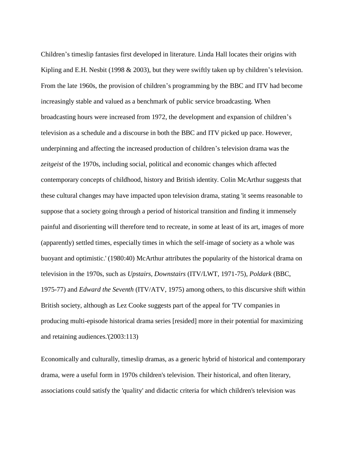Children's timeslip fantasies first developed in literature. Linda Hall locates their origins with Kipling and E.H. Nesbit (1998 & 2003), but they were swiftly taken up by children's television. From the late 1960s, the provision of children's programming by the BBC and ITV had become increasingly stable and valued as a benchmark of public service broadcasting. When broadcasting hours were increased from 1972, the development and expansion of children's television as a schedule and a discourse in both the BBC and ITV picked up pace. However, underpinning and affecting the increased production of children's television drama was the *zeitgeist* of the 1970s, including social, political and economic changes which affected contemporary concepts of childhood, history and British identity. Colin McArthur suggests that these cultural changes may have impacted upon television drama, stating 'it seems reasonable to suppose that a society going through a period of historical transition and finding it immensely painful and disorienting will therefore tend to recreate, in some at least of its art, images of more (apparently) settled times, especially times in which the self-image of society as a whole was buoyant and optimistic.' (1980:40) McArthur attributes the popularity of the historical drama on television in the 1970s, such as *Upstairs, Downstairs* (ITV/LWT, 1971-75), *Poldark* (BBC, 1975-77) and *Edward the Seventh* (ITV/ATV, 1975) among others, to this discursive shift within British society, although as Lez Cooke suggests part of the appeal for 'TV companies in producing multi-episode historical drama series [resided] more in their potential for maximizing and retaining audiences.'(2003:113)

Economically and culturally, timeslip dramas, as a generic hybrid of historical and contemporary drama, were a useful form in 1970s children's television. Their historical, and often literary, associations could satisfy the 'quality' and didactic criteria for which children's television was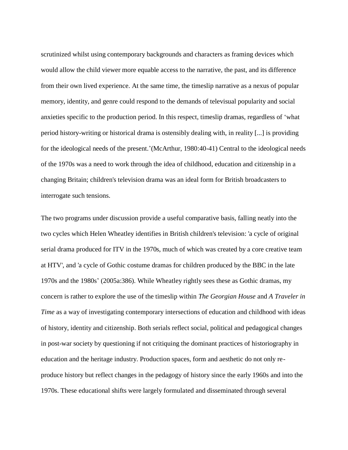scrutinized whilst using contemporary backgrounds and characters as framing devices which would allow the child viewer more equable access to the narrative, the past, and its difference from their own lived experience. At the same time, the timeslip narrative as a nexus of popular memory, identity, and genre could respond to the demands of televisual popularity and social anxieties specific to the production period. In this respect, timeslip dramas, regardless of 'what period history-writing or historical drama is ostensibly dealing with, in reality [...] is providing for the ideological needs of the present.'(McArthur, 1980:40-41) Central to the ideological needs of the 1970s was a need to work through the idea of childhood, education and citizenship in a changing Britain; children's television drama was an ideal form for British broadcasters to interrogate such tensions.

The two programs under discussion provide a useful comparative basis, falling neatly into the two cycles which Helen Wheatley identifies in British children's television: 'a cycle of original serial drama produced for ITV in the 1970s, much of which was created by a core creative team at HTV', and 'a cycle of Gothic costume dramas for children produced by the BBC in the late 1970s and the 1980s' (2005a:386). While Wheatley rightly sees these as Gothic dramas, my concern is rather to explore the use of the timeslip within *The Georgian House* and *A Traveler in Time* as a way of investigating contemporary intersections of education and childhood with ideas of history, identity and citizenship. Both serials reflect social, political and pedagogical changes in post-war society by questioning if not critiquing the dominant practices of historiography in education and the heritage industry. Production spaces, form and aesthetic do not only reproduce history but reflect changes in the pedagogy of history since the early 1960s and into the 1970s. These educational shifts were largely formulated and disseminated through several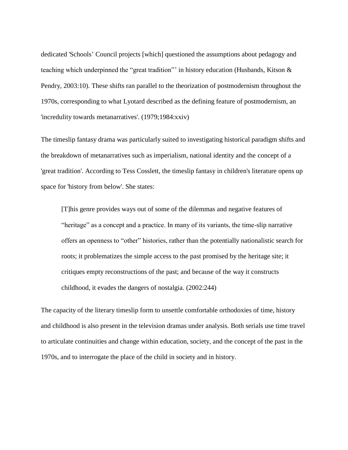dedicated 'Schools' Council projects [which] questioned the assumptions about pedagogy and teaching which underpinned the "great tradition"' in history education (Husbands, Kitson & Pendry, 2003:10). These shifts ran parallel to the theorization of postmodernism throughout the 1970s, corresponding to what Lyotard described as the defining feature of postmodernism, an 'incredulity towards metanarratives'. (1979;1984:xxiv)

The timeslip fantasy drama was particularly suited to investigating historical paradigm shifts and the breakdown of metanarratives such as imperialism, national identity and the concept of a 'great tradition'. According to Tess Cosslett, the timeslip fantasy in children's literature opens up space for 'history from below'. She states:

[T]his genre provides ways out of some of the dilemmas and negative features of "heritage" as a concept and a practice. In many of its variants, the time-slip narrative offers an openness to "other" histories, rather than the potentially nationalistic search for roots; it problematizes the simple access to the past promised by the heritage site; it critiques empty reconstructions of the past; and because of the way it constructs childhood, it evades the dangers of nostalgia. (2002:244)

The capacity of the literary timeslip form to unsettle comfortable orthodoxies of time, history and childhood is also present in the television dramas under analysis. Both serials use time travel to articulate continuities and change within education, society, and the concept of the past in the 1970s, and to interrogate the place of the child in society and in history.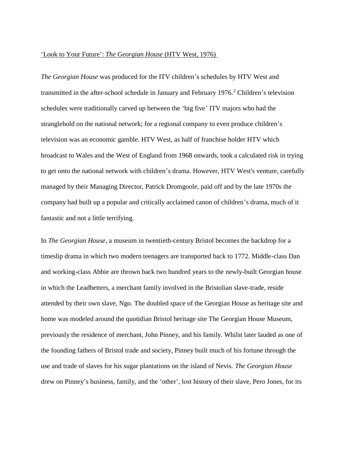## 'Look to Your Future': *The Georgian House* (HTV West, 1976)

*The Georgian House* was produced for the ITV children's schedules by HTV West and transmitted in the after-school schedule in January and February 1976.<sup>2</sup> Children's television schedules were traditionally carved up between the 'big five' ITV majors who had the stranglehold on the national network; for a regional company to even produce children's television was an economic gamble. HTV West, as half of franchise holder HTV which broadcast to Wales and the West of England from 1968 onwards, took a calculated risk in trying to get onto the national network with children's drama. However, HTV West's venture, carefully managed by their Managing Director, Patrick Dromgoole, paid off and by the late 1970s the company had built up a popular and critically acclaimed canon of children's drama, much of it fantastic and not a little terrifying.

In *The Georgian House*, a museum in twentieth-century Bristol becomes the backdrop for a timeslip drama in which two modern teenagers are transported back to 1772. Middle-class Dan and working-class Abbie are thrown back two hundred years to the newly-built Georgian house in which the Leadbetters, a merchant family involved in the Bristolian slave-trade, reside attended by their own slave, Ngo. The doubled space of the Georgian House as heritage site and home was modeled around the quotidian Bristol heritage site The Georgian House Museum, previously the residence of merchant, John Pinney, and his family. Whilst later lauded as one of the founding fathers of Bristol trade and society, Pinney built much of his fortune through the use and trade of slaves for his sugar plantations on the island of Nevis. *The Georgian House* drew on Pinney's business, family, and the 'other', lost history of their slave, Pero Jones, for its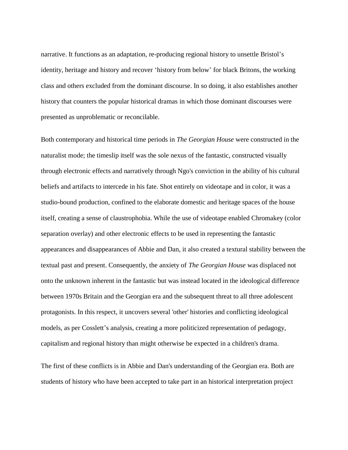narrative. It functions as an adaptation, re-producing regional history to unsettle Bristol's identity, heritage and history and recover 'history from below' for black Britons, the working class and others excluded from the dominant discourse. In so doing, it also establishes another history that counters the popular historical dramas in which those dominant discourses were presented as unproblematic or reconcilable.

Both contemporary and historical time periods in *The Georgian House* were constructed in the naturalist mode; the timeslip itself was the sole nexus of the fantastic, constructed visually through electronic effects and narratively through Ngo's conviction in the ability of his cultural beliefs and artifacts to intercede in his fate. Shot entirely on videotape and in color, it was a studio-bound production, confined to the elaborate domestic and heritage spaces of the house itself, creating a sense of claustrophobia. While the use of videotape enabled Chromakey (color separation overlay) and other electronic effects to be used in representing the fantastic appearances and disappearances of Abbie and Dan, it also created a textural stability between the textual past and present. Consequently, the anxiety of *The Georgian House* was displaced not onto the unknown inherent in the fantastic but was instead located in the ideological difference between 1970s Britain and the Georgian era and the subsequent threat to all three adolescent protagonists. In this respect, it uncovers several 'other' histories and conflicting ideological models, as per Cosslett's analysis, creating a more politicized representation of pedagogy, capitalism and regional history than might otherwise be expected in a children's drama.

The first of these conflicts is in Abbie and Dan's understanding of the Georgian era. Both are students of history who have been accepted to take part in an historical interpretation project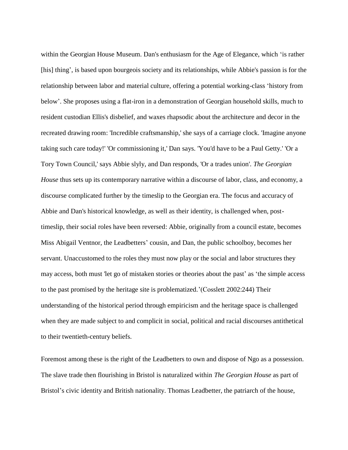within the Georgian House Museum. Dan's enthusiasm for the Age of Elegance, which 'is rather [his] thing', is based upon bourgeois society and its relationships, while Abbie's passion is for the relationship between labor and material culture, offering a potential working-class 'history from below'. She proposes using a flat-iron in a demonstration of Georgian household skills, much to resident custodian Ellis's disbelief, and waxes rhapsodic about the architecture and decor in the recreated drawing room: 'Incredible craftsmanship,' she says of a carriage clock. 'Imagine anyone taking such care today!' 'Or commissioning it,' Dan says. 'You'd have to be a Paul Getty.' 'Or a Tory Town Council,' says Abbie slyly, and Dan responds, 'Or a trades union'. *The Georgian House* thus sets up its contemporary narrative within a discourse of labor, class, and economy, a discourse complicated further by the timeslip to the Georgian era. The focus and accuracy of Abbie and Dan's historical knowledge, as well as their identity, is challenged when, posttimeslip, their social roles have been reversed: Abbie, originally from a council estate, becomes Miss Abigail Ventnor, the Leadbetters' cousin, and Dan, the public schoolboy, becomes her servant. Unaccustomed to the roles they must now play or the social and labor structures they may access, both must 'let go of mistaken stories or theories about the past' as 'the simple access to the past promised by the heritage site is problematized.'(Cosslett 2002:244) Their understanding of the historical period through empiricism and the heritage space is challenged when they are made subject to and complicit in social, political and racial discourses antithetical to their twentieth-century beliefs.

Foremost among these is the right of the Leadbetters to own and dispose of Ngo as a possession. The slave trade then flourishing in Bristol is naturalized within *The Georgian House* as part of Bristol's civic identity and British nationality. Thomas Leadbetter, the patriarch of the house,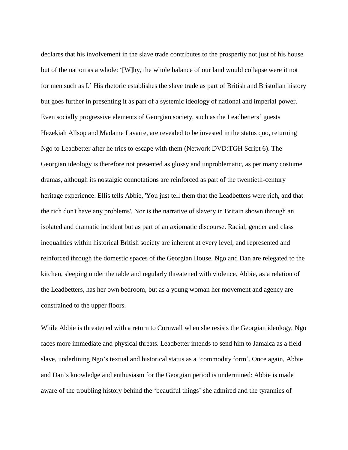declares that his involvement in the slave trade contributes to the prosperity not just of his house but of the nation as a whole: '[W]hy, the whole balance of our land would collapse were it not for men such as I.' His rhetoric establishes the slave trade as part of British and Bristolian history but goes further in presenting it as part of a systemic ideology of national and imperial power. Even socially progressive elements of Georgian society, such as the Leadbetters' guests Hezekiah Allsop and Madame Lavarre, are revealed to be invested in the status quo, returning Ngo to Leadbetter after he tries to escape with them (Network DVD:TGH Script 6). The Georgian ideology is therefore not presented as glossy and unproblematic, as per many costume dramas, although its nostalgic connotations are reinforced as part of the twentieth-century heritage experience: Ellis tells Abbie, 'You just tell them that the Leadbetters were rich, and that the rich don't have any problems'. Nor is the narrative of slavery in Britain shown through an isolated and dramatic incident but as part of an axiomatic discourse. Racial, gender and class inequalities within historical British society are inherent at every level, and represented and reinforced through the domestic spaces of the Georgian House. Ngo and Dan are relegated to the kitchen, sleeping under the table and regularly threatened with violence. Abbie, as a relation of the Leadbetters, has her own bedroom, but as a young woman her movement and agency are constrained to the upper floors.

While Abbie is threatened with a return to Cornwall when she resists the Georgian ideology, Ngo faces more immediate and physical threats. Leadbetter intends to send him to Jamaica as a field slave, underlining Ngo's textual and historical status as a 'commodity form'. Once again, Abbie and Dan's knowledge and enthusiasm for the Georgian period is undermined: Abbie is made aware of the troubling history behind the 'beautiful things' she admired and the tyrannies of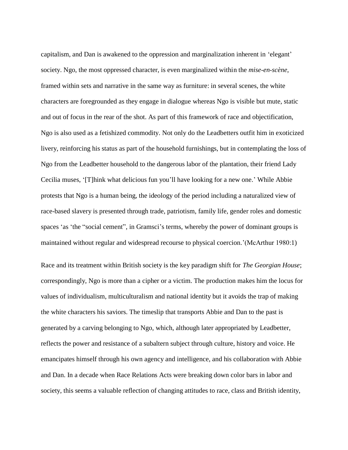capitalism, and Dan is awakened to the oppression and marginalization inherent in 'elegant' society. Ngo, the most oppressed character, is even marginalized within the *mise-en-scène*, framed within sets and narrative in the same way as furniture: in several scenes, the white characters are foregrounded as they engage in dialogue whereas Ngo is visible but mute, static and out of focus in the rear of the shot. As part of this framework of race and objectification, Ngo is also used as a fetishized commodity. Not only do the Leadbetters outfit him in exoticized livery, reinforcing his status as part of the household furnishings, but in contemplating the loss of Ngo from the Leadbetter household to the dangerous labor of the plantation, their friend Lady Cecilia muses, '[T]hink what delicious fun you'll have looking for a new one.' While Abbie protests that Ngo is a human being, the ideology of the period including a naturalized view of race-based slavery is presented through trade, patriotism, family life, gender roles and domestic spaces 'as 'the "social cement", in Gramsci's terms, whereby the power of dominant groups is maintained without regular and widespread recourse to physical coercion.'(McArthur 1980:1)

Race and its treatment within British society is the key paradigm shift for *The Georgian House*; correspondingly, Ngo is more than a cipher or a victim. The production makes him the locus for values of individualism, multiculturalism and national identity but it avoids the trap of making the white characters his saviors. The timeslip that transports Abbie and Dan to the past is generated by a carving belonging to Ngo, which, although later appropriated by Leadbetter, reflects the power and resistance of a subaltern subject through culture, history and voice. He emancipates himself through his own agency and intelligence, and his collaboration with Abbie and Dan. In a decade when Race Relations Acts were breaking down color bars in labor and society, this seems a valuable reflection of changing attitudes to race, class and British identity,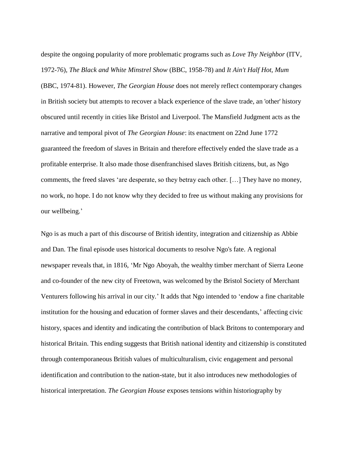despite the ongoing popularity of more problematic programs such as *Love Thy Neighbor* (ITV, 1972-76)*, The Black and White Minstrel Show* (BBC, 1958-78) and *It Ain't Half Hot, Mum*  (BBC, 1974-81). However, *The Georgian House* does not merely reflect contemporary changes in British society but attempts to recover a black experience of the slave trade, an 'other' history obscured until recently in cities like Bristol and Liverpool. The Mansfield Judgment acts as the narrative and temporal pivot of *The Georgian House*: its enactment on 22nd June 1772 guaranteed the freedom of slaves in Britain and therefore effectively ended the slave trade as a profitable enterprise. It also made those disenfranchised slaves British citizens, but, as Ngo comments, the freed slaves 'are desperate, so they betray each other. […] They have no money, no work, no hope. I do not know why they decided to free us without making any provisions for our wellbeing.'

Ngo is as much a part of this discourse of British identity, integration and citizenship as Abbie and Dan. The final episode uses historical documents to resolve Ngo's fate. A regional newspaper reveals that, in 1816, 'Mr Ngo Aboyah, the wealthy timber merchant of Sierra Leone and co-founder of the new city of Freetown, was welcomed by the Bristol Society of Merchant Venturers following his arrival in our city.' It adds that Ngo intended to 'endow a fine charitable institution for the housing and education of former slaves and their descendants,' affecting civic history, spaces and identity and indicating the contribution of black Britons to contemporary and historical Britain. This ending suggests that British national identity and citizenship is constituted through contemporaneous British values of multiculturalism, civic engagement and personal identification and contribution to the nation-state, but it also introduces new methodologies of historical interpretation. *The Georgian House* exposes tensions within historiography by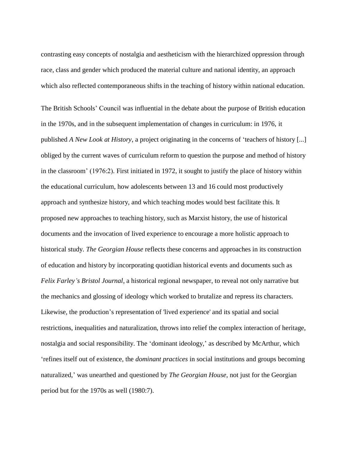contrasting easy concepts of nostalgia and aestheticism with the hierarchized oppression through race, class and gender which produced the material culture and national identity, an approach which also reflected contemporaneous shifts in the teaching of history within national education.

The British Schools' Council was influential in the debate about the purpose of British education in the 1970s, and in the subsequent implementation of changes in curriculum: in 1976, it published *A New Look at History*, a project originating in the concerns of 'teachers of history [...] obliged by the current waves of curriculum reform to question the purpose and method of history in the classroom' (1976:2). First initiated in 1972, it sought to justify the place of history within the educational curriculum, how adolescents between 13 and 16 could most productively approach and synthesize history, and which teaching modes would best facilitate this. It proposed new approaches to teaching history, such as Marxist history, the use of historical documents and the invocation of lived experience to encourage a more holistic approach to historical study. *The Georgian House* reflects these concerns and approaches in its construction of education and history by incorporating quotidian historical events and documents such as *Felix Farley's Bristol Journal*, a historical regional newspaper, to reveal not only narrative but the mechanics and glossing of ideology which worked to brutalize and repress its characters. Likewise, the production's representation of 'lived experience' and its spatial and social restrictions, inequalities and naturalization, throws into relief the complex interaction of heritage, nostalgia and social responsibility. The 'dominant ideology,' as described by McArthur, which 'refines itself out of existence, the *dominant practices* in social institutions and groups becoming naturalized,' was unearthed and questioned by *The Georgian House*, not just for the Georgian period but for the 1970s as well (1980:7).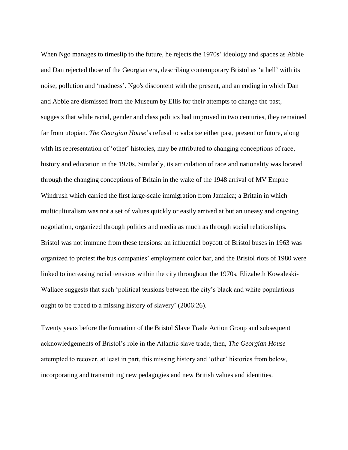When Ngo manages to timeslip to the future, he rejects the 1970s' ideology and spaces as Abbie and Dan rejected those of the Georgian era, describing contemporary Bristol as 'a hell' with its noise, pollution and 'madness'. Ngo's discontent with the present, and an ending in which Dan and Abbie are dismissed from the Museum by Ellis for their attempts to change the past, suggests that while racial, gender and class politics had improved in two centuries, they remained far from utopian. *The Georgian House*'s refusal to valorize either past, present or future, along with its representation of 'other' histories, may be attributed to changing conceptions of race, history and education in the 1970s. Similarly, its articulation of race and nationality was located through the changing conceptions of Britain in the wake of the 1948 arrival of MV Empire Windrush which carried the first large-scale immigration from Jamaica; a Britain in which multiculturalism was not a set of values quickly or easily arrived at but an uneasy and ongoing negotiation, organized through politics and media as much as through social relationships. Bristol was not immune from these tensions: an influential boycott of Bristol buses in 1963 was organized to protest the bus companies' employment color bar, and the Bristol riots of 1980 were linked to increasing racial tensions within the city throughout the 1970s. Elizabeth Kowaleski-Wallace suggests that such 'political tensions between the city's black and white populations ought to be traced to a missing history of slavery' (2006:26).

Twenty years before the formation of the Bristol Slave Trade Action Group and subsequent acknowledgements of Bristol's role in the Atlantic slave trade, then, *The Georgian House* attempted to recover, at least in part, this missing history and 'other' histories from below, incorporating and transmitting new pedagogies and new British values and identities.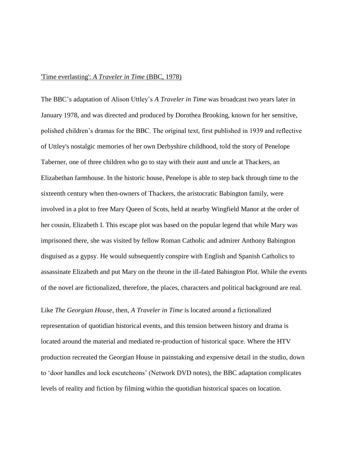#### 'Time everlasting': *A Traveler in Time* (BBC, 1978)

The BBC's adaptation of Alison Uttley's *A Traveler in Time* was broadcast two years later in January 1978, and was directed and produced by Dorothea Brooking, known for her sensitive, polished children's dramas for the BBC. The original text, first published in 1939 and reflective of Uttley's nostalgic memories of her own Derbyshire childhood, told the story of Penelope Taberner, one of three children who go to stay with their aunt and uncle at Thackers, an Elizabethan farmhouse. In the historic house, Penelope is able to step back through time to the sixteenth century when then-owners of Thackers, the aristocratic Babington family, were involved in a plot to free Mary Queen of Scots, held at nearby Wingfield Manor at the order of her cousin, Elizabeth I. This escape plot was based on the popular legend that while Mary was imprisoned there, she was visited by fellow Roman Catholic and admirer Anthony Babington disguised as a gypsy. He would subsequently conspire with English and Spanish Catholics to assassinate Elizabeth and put Mary on the throne in the ill-fated Babington Plot. While the events of the novel are fictionalized, therefore, the places, characters and political background are real.

Like *The Georgian House*, then, *A Traveler in Time* is located around a fictionalized representation of quotidian historical events, and this tension between history and drama is located around the material and mediated re-production of historical space. Where the HTV production recreated the Georgian House in painstaking and expensive detail in the studio, down to 'door handles and lock escutcheons' (Network DVD notes), the BBC adaptation complicates levels of reality and fiction by filming within the quotidian historical spaces on location.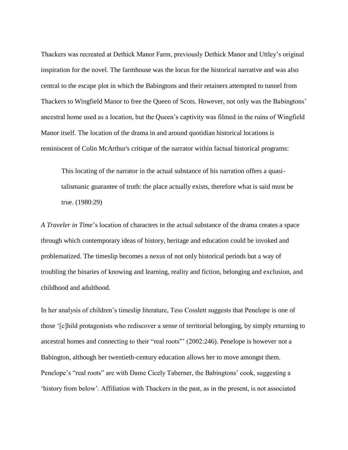Thackers was recreated at Dethick Manor Farm, previously Dethick Manor and Uttley's original inspiration for the novel. The farmhouse was the locus for the historical narrative and was also central to the escape plot in which the Babingtons and their retainers attempted to tunnel from Thackers to Wingfield Manor to free the Queen of Scots. However, not only was the Babingtons' ancestral home used as a location, but the Queen's captivity was filmed in the ruins of Wingfield Manor itself. The location of the drama in and around quotidian historical locations is reminiscent of Colin McArthur's critique of the narrator within factual historical programs:

This locating of the narrator in the actual substance of his narration offers a quasitalismanic guarantee of truth: the place actually exists, therefore what is said must be true. (1980:29)

*A Traveler in Time*'s location of characters in the actual substance of the drama creates a space through which contemporary ideas of history, heritage and education could be invoked and problematized. The timeslip becomes a nexus of not only historical periods but a way of troubling the binaries of knowing and learning, reality and fiction, belonging and exclusion, and childhood and adulthood.

In her analysis of children's timeslip literature, Tess Cosslett suggests that Penelope is one of those '[c]hild protagonists who rediscover a sense of territorial belonging, by simply returning to ancestral homes and connecting to their "real roots"' (2002:246). Penelope is however not a Babington, although her twentieth-century education allows her to move amongst them. Penelope's "real roots" are with Dame Cicely Taberner, the Babingtons' cook, suggesting a 'history from below'. Affiliation with Thackers in the past, as in the present, is not associated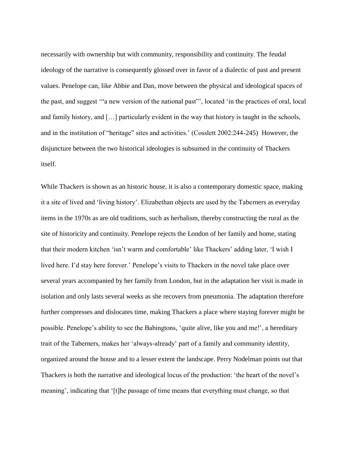necessarily with ownership but with community, responsibility and continuity. The feudal ideology of the narrative is consequently glossed over in favor of a dialectic of past and present values. Penelope can, like Abbie and Dan, move between the physical and ideological spaces of the past, and suggest '"a new version of the national past"', located 'in the practices of oral, local and family history, and […] particularly evident in the way that history is taught in the schools, and in the institution of "heritage" sites and activities.' (Cosslett 2002:244-245) However, the disjuncture between the two historical ideologies is subsumed in the continuity of Thackers itself.

While Thackers is shown as an historic house, it is also a contemporary domestic space, making it a site of lived and 'living history'. Elizabethan objects are used by the Taberners as everyday items in the 1970s as are old traditions, such as herbalism, thereby constructing the rural as the site of historicity and continuity. Penelope rejects the London of her family and home, stating that their modern kitchen 'isn't warm and comfortable' like Thackers' adding later, 'I wish I lived here. I'd stay here forever.' Penelope's visits to Thackers in the novel take place over several years accompanied by her family from London, but in the adaptation her visit is made in isolation and only lasts several weeks as she recovers from pneumonia. The adaptation therefore further compresses and dislocates time, making Thackers a place where staying forever might be possible. Penelope's ability to see the Babingtons, 'quite alive, like you and me!', a hereditary trait of the Taberners, makes her 'always-already' part of a family and community identity, organized around the house and to a lesser extent the landscape. Perry Nodelman points out that Thackers is both the narrative and ideological locus of the production: 'the heart of the novel's meaning', indicating that '[t]he passage of time means that everything must change, so that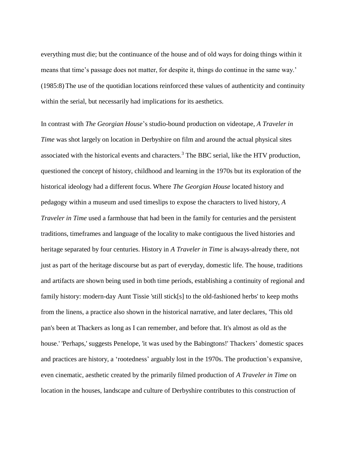everything must die; but the continuance of the house and of old ways for doing things within it means that time's passage does not matter, for despite it, things do continue in the same way.' (1985:8) The use of the quotidian locations reinforced these values of authenticity and continuity within the serial, but necessarily had implications for its aesthetics.

In contrast with *The Georgian House*'s studio-bound production on videotape, *A Traveler in Time* was shot largely on location in Derbyshire on film and around the actual physical sites associated with the historical events and characters.<sup>3</sup> The BBC serial, like the HTV production, questioned the concept of history, childhood and learning in the 1970s but its exploration of the historical ideology had a different focus. Where *The Georgian House* located history and pedagogy within a museum and used timeslips to expose the characters to lived history, *A Traveler in Time* used a farmhouse that had been in the family for centuries and the persistent traditions, timeframes and language of the locality to make contiguous the lived histories and heritage separated by four centuries. History in *A Traveler in Time* is always-already there, not just as part of the heritage discourse but as part of everyday, domestic life. The house, traditions and artifacts are shown being used in both time periods, establishing a continuity of regional and family history: modern-day Aunt Tissie 'still stick[s] to the old-fashioned herbs' to keep moths from the linens, a practice also shown in the historical narrative, and later declares, 'This old pan's been at Thackers as long as I can remember, and before that. It's almost as old as the house.' 'Perhaps,' suggests Penelope, 'it was used by the Babingtons!' Thackers' domestic spaces and practices are history, a 'rootedness' arguably lost in the 1970s. The production's expansive, even cinematic, aesthetic created by the primarily filmed production of *A Traveler in Time* on location in the houses, landscape and culture of Derbyshire contributes to this construction of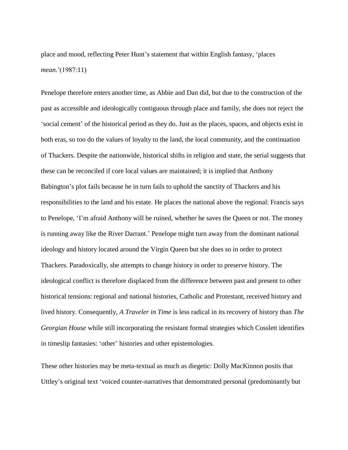place and mood, reflecting Peter Hunt's statement that within English fantasy, 'places *mean*.'(1987:11)

Penelope therefore enters another time, as Abbie and Dan did, but due to the construction of the past as accessible and ideologically contiguous through place and family, she does not reject the 'social cement' of the historical period as they do. Just as the places, spaces, and objects exist in both eras, so too do the values of loyalty to the land, the local community, and the continuation of Thackers. Despite the nationwide, historical shifts in religion and state, the serial suggests that these can be reconciled if core local values are maintained; it is implied that Anthony Babington's plot fails because he in turn fails to uphold the sanctity of Thackers and his responsibilities to the land and his estate. He places the national above the regional: Francis says to Penelope, 'I'm afraid Anthony will be ruined, whether he saves the Queen or not. The money is running away like the River Darrant.' Penelope might turn away from the dominant national ideology and history located around the Virgin Queen but she does so in order to protect Thackers. Paradoxically, she attempts to change history in order to preserve history. The ideological conflict is therefore displaced from the difference between past and present to other historical tensions: regional and national histories, Catholic and Protestant, received history and lived history. Consequently, *A Traveler in Time* is less radical in its recovery of history than *The Georgian House* while still incorporating the resistant formal strategies which Cosslett identifies in timeslip fantasies: 'other' histories and other epistemologies.

These other histories may be meta-textual as much as diegetic: Dolly MacKinnon posits that Uttley's original text 'voiced counter-narratives that demonstrated personal (predominantly but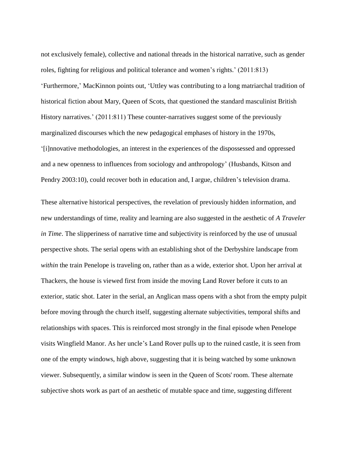not exclusively female), collective and national threads in the historical narrative, such as gender roles, fighting for religious and political tolerance and women's rights.' (2011:813) 'Furthermore,' MacKinnon points out, 'Uttley was contributing to a long matriarchal tradition of historical fiction about Mary, Queen of Scots, that questioned the standard masculinist British History narratives.' (2011:811) These counter-narratives suggest some of the previously marginalized discourses which the new pedagogical emphases of history in the 1970s, '[i]nnovative methodologies, an interest in the experiences of the dispossessed and oppressed and a new openness to influences from sociology and anthropology' (Husbands, Kitson and Pendry 2003:10), could recover both in education and, I argue, children's television drama.

These alternative historical perspectives, the revelation of previously hidden information, and new understandings of time, reality and learning are also suggested in the aesthetic of *A Traveler in Time*. The slipperiness of narrative time and subjectivity is reinforced by the use of unusual perspective shots. The serial opens with an establishing shot of the Derbyshire landscape from *within* the train Penelope is traveling on, rather than as a wide, exterior shot. Upon her arrival at Thackers, the house is viewed first from inside the moving Land Rover before it cuts to an exterior, static shot. Later in the serial, an Anglican mass opens with a shot from the empty pulpit before moving through the church itself, suggesting alternate subjectivities, temporal shifts and relationships with spaces. This is reinforced most strongly in the final episode when Penelope visits Wingfield Manor. As her uncle's Land Rover pulls up to the ruined castle, it is seen from one of the empty windows, high above, suggesting that it is being watched by some unknown viewer. Subsequently, a similar window is seen in the Queen of Scots' room. These alternate subjective shots work as part of an aesthetic of mutable space and time, suggesting different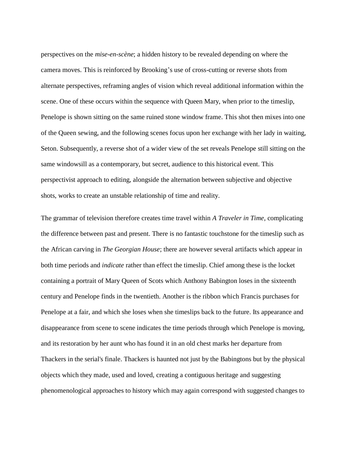perspectives on the *mise-en-scène*; a hidden history to be revealed depending on where the camera moves. This is reinforced by Brooking's use of cross-cutting or reverse shots from alternate perspectives, reframing angles of vision which reveal additional information within the scene. One of these occurs within the sequence with Queen Mary, when prior to the timeslip, Penelope is shown sitting on the same ruined stone window frame. This shot then mixes into one of the Queen sewing, and the following scenes focus upon her exchange with her lady in waiting, Seton. Subsequently, a reverse shot of a wider view of the set reveals Penelope still sitting on the same windowsill as a contemporary, but secret, audience to this historical event. This perspectivist approach to editing, alongside the alternation between subjective and objective shots, works to create an unstable relationship of time and reality.

The grammar of television therefore creates time travel within *A Traveler in Time*, complicating the difference between past and present. There is no fantastic touchstone for the timeslip such as the African carving in *The Georgian House*; there are however several artifacts which appear in both time periods and *indicate* rather than effect the timeslip. Chief among these is the locket containing a portrait of Mary Queen of Scots which Anthony Babington loses in the sixteenth century and Penelope finds in the twentieth. Another is the ribbon which Francis purchases for Penelope at a fair, and which she loses when she timeslips back to the future. Its appearance and disappearance from scene to scene indicates the time periods through which Penelope is moving, and its restoration by her aunt who has found it in an old chest marks her departure from Thackers in the serial's finale. Thackers is haunted not just by the Babingtons but by the physical objects which they made, used and loved, creating a contiguous heritage and suggesting phenomenological approaches to history which may again correspond with suggested changes to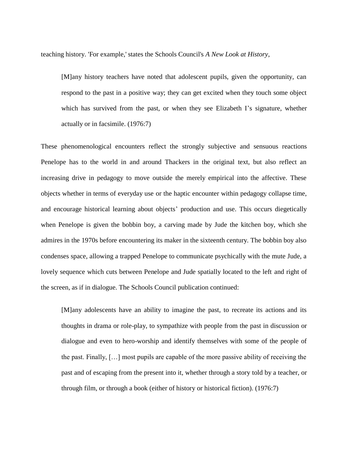teaching history. 'For example,' states the Schools Council's *A New Look at History*,

[M]any history teachers have noted that adolescent pupils, given the opportunity, can respond to the past in a positive way; they can get excited when they touch some object which has survived from the past, or when they see Elizabeth I's signature, whether actually or in facsimile. (1976:7)

These phenomenological encounters reflect the strongly subjective and sensuous reactions Penelope has to the world in and around Thackers in the original text, but also reflect an increasing drive in pedagogy to move outside the merely empirical into the affective. These objects whether in terms of everyday use or the haptic encounter within pedagogy collapse time, and encourage historical learning about objects' production and use. This occurs diegetically when Penelope is given the bobbin boy, a carving made by Jude the kitchen boy, which she admires in the 1970s before encountering its maker in the sixteenth century. The bobbin boy also condenses space, allowing a trapped Penelope to communicate psychically with the mute Jude, a lovely sequence which cuts between Penelope and Jude spatially located to the left and right of the screen, as if in dialogue. The Schools Council publication continued:

[M]any adolescents have an ability to imagine the past, to recreate its actions and its thoughts in drama or role-play, to sympathize with people from the past in discussion or dialogue and even to hero-worship and identify themselves with some of the people of the past. Finally, […] most pupils are capable of the more passive ability of receiving the past and of escaping from the present into it, whether through a story told by a teacher, or through film, or through a book (either of history or historical fiction). (1976:7)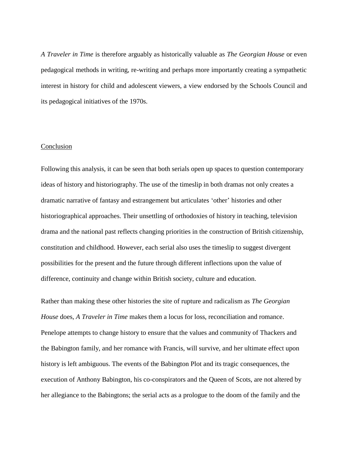*A Traveler in Time* is therefore arguably as historically valuable as *The Georgian House* or even pedagogical methods in writing, re-writing and perhaps more importantly creating a sympathetic interest in history for child and adolescent viewers, a view endorsed by the Schools Council and its pedagogical initiatives of the 1970s.

## **Conclusion**

Following this analysis, it can be seen that both serials open up spaces to question contemporary ideas of history and historiography. The use of the timeslip in both dramas not only creates a dramatic narrative of fantasy and estrangement but articulates 'other' histories and other historiographical approaches. Their unsettling of orthodoxies of history in teaching, television drama and the national past reflects changing priorities in the construction of British citizenship, constitution and childhood. However, each serial also uses the timeslip to suggest divergent possibilities for the present and the future through different inflections upon the value of difference, continuity and change within British society, culture and education.

Rather than making these other histories the site of rupture and radicalism as *The Georgian House* does, *A Traveler in Time* makes them a locus for loss, reconciliation and romance. Penelope attempts to change history to ensure that the values and community of Thackers and the Babington family, and her romance with Francis, will survive, and her ultimate effect upon history is left ambiguous. The events of the Babington Plot and its tragic consequences, the execution of Anthony Babington, his co-conspirators and the Queen of Scots, are not altered by her allegiance to the Babingtons; the serial acts as a prologue to the doom of the family and the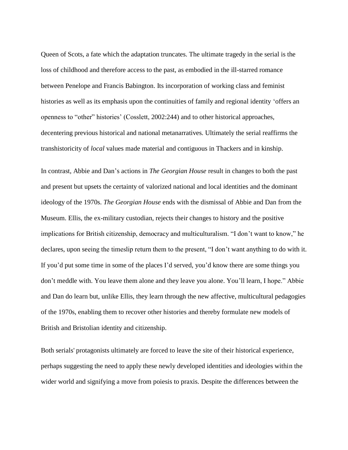Queen of Scots, a fate which the adaptation truncates. The ultimate tragedy in the serial is the loss of childhood and therefore access to the past, as embodied in the ill-starred romance between Penelope and Francis Babington. Its incorporation of working class and feminist histories as well as its emphasis upon the continuities of family and regional identity 'offers an openness to "other" histories' (Cosslett, 2002:244) and to other historical approaches, decentering previous historical and national metanarratives. Ultimately the serial reaffirms the transhistoricity of *local* values made material and contiguous in Thackers and in kinship.

In contrast, Abbie and Dan's actions in *The Georgian House* result in changes to both the past and present but upsets the certainty of valorized national and local identities and the dominant ideology of the 1970s. *The Georgian House* ends with the dismissal of Abbie and Dan from the Museum. Ellis, the ex-military custodian, rejects their changes to history and the positive implications for British citizenship, democracy and multiculturalism. "I don't want to know," he declares, upon seeing the timeslip return them to the present, "I don't want anything to do with it. If you'd put some time in some of the places I'd served, you'd know there are some things you don't meddle with. You leave them alone and they leave you alone. You'll learn, I hope." Abbie and Dan do learn but, unlike Ellis, they learn through the new affective, multicultural pedagogies of the 1970s, enabling them to recover other histories and thereby formulate new models of British and Bristolian identity and citizenship.

Both serials' protagonists ultimately are forced to leave the site of their historical experience, perhaps suggesting the need to apply these newly developed identities and ideologies within the wider world and signifying a move from poiesis to praxis. Despite the differences between the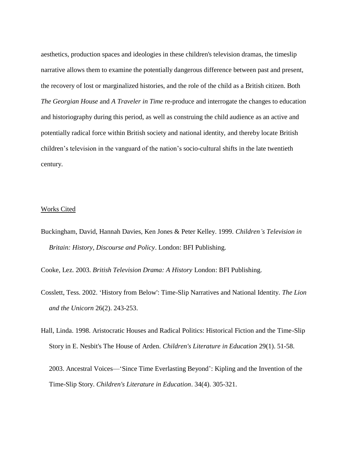aesthetics, production spaces and ideologies in these children's television dramas, the timeslip narrative allows them to examine the potentially dangerous difference between past and present, the recovery of lost or marginalized histories, and the role of the child as a British citizen. Both *The Georgian House* and *A Traveler in Time* re-produce and interrogate the changes to education and historiography during this period, as well as construing the child audience as an active and potentially radical force within British society and national identity, and thereby locate British children's television in the vanguard of the nation's socio-cultural shifts in the late twentieth century.

## Works Cited

Buckingham, David, Hannah Davies, Ken Jones & Peter Kelley. 1999. *Children's Television in Britain: History, Discourse and Policy*. London: BFI Publishing.

Cooke, Lez. 2003. *British Television Drama: A History* London: BFI Publishing.

- Cosslett, Tess. 2002. 'History from Below': Time-Slip Narratives and National Identity. *The Lion and the Unicorn* 26(2). 243-253.
- Hall, Linda. 1998. Aristocratic Houses and Radical Politics: Historical Fiction and the Time-Slip Story in E. Nesbit's The House of Arden. *Children's Literature in Education* 29(1). 51-58.

2003. Ancestral Voices—'Since Time Everlasting Beyond': Kipling and the Invention of the Time-Slip Story. *Children's Literature in Education*. 34(4). 305-321.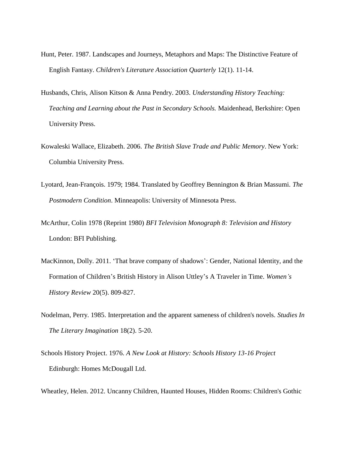- Hunt, Peter. 1987. Landscapes and Journeys, Metaphors and Maps: The Distinctive Feature of English Fantasy. *Children's Literature Association Quarterly* 12(1). 11-14.
- Husbands, Chris, Alison Kitson & Anna Pendry. 2003. *Understanding History Teaching: Teaching and Learning about the Past in Secondary Schools.* Maidenhead, Berkshire: Open University Press.
- Kowaleski Wallace, Elizabeth. 2006. *The British Slave Trade and Public Memory*. New York: Columbia University Press.
- Lyotard, Jean-François. 1979; 1984. Translated by Geoffrey Bennington & Brian Massumi. *The Postmodern Condition*. Minneapolis: University of Minnesota Press.
- McArthur, Colin 1978 (Reprint 1980) *BFI Television Monograph 8: Television and History* London: BFI Publishing.
- MacKinnon, Dolly. 2011. 'That brave company of shadows': Gender, National Identity, and the Formation of Children's British History in Alison Uttley's A Traveler in Time. *Women's History Review* 20(5). 809-827.
- Nodelman, Perry. 1985. Interpretation and the apparent sameness of children's novels. *Studies In The Literary Imagination* 18(2). 5-20.
- Schools History Project. 1976. *A New Look at History: Schools History 13-16 Project* Edinburgh: Homes McDougall Ltd.

Wheatley, Helen. 2012. Uncanny Children, Haunted Houses, Hidden Rooms: Children's Gothic